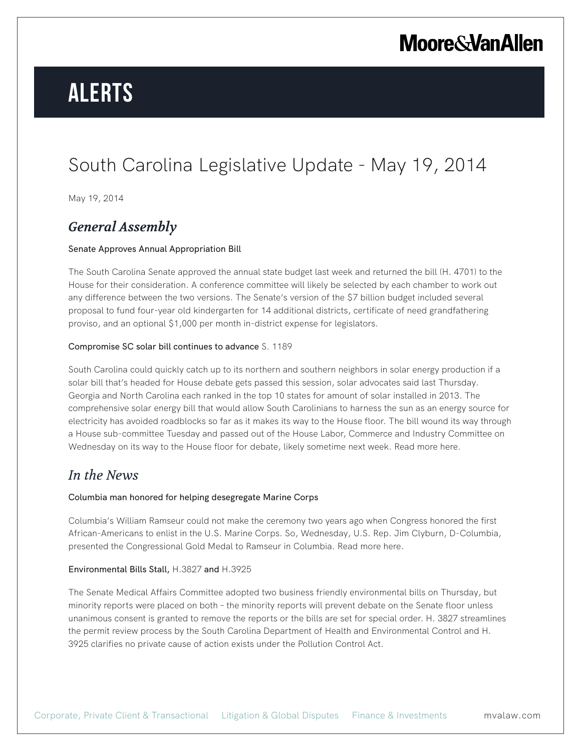# **Alerts**

### South Carolina Legislative Update - May 19, 2014

May 19, 2014

### *General Assembly*

#### Senate Approves Annual Appropriation Bill

The South Carolina Senate approved the annual state budget last week and returned the bill (H. 4701) to the House for their consideration. A conference committee will likely be selected by each chamber to work out any difference between the two versions. The Senate's version of the \$7 billion budget included several proposal to fund four-year old kindergarten for 14 additional districts, certificate of need grandfathering proviso, and an optional \$1,000 per month in-district expense for legislators.

#### Compromise SC solar bill continues to advance S. 1189

South Carolina could quickly catch up to its northern and southern neighbors in solar energy production if a solar bill that's headed for House debate gets passed this session, solar advocates said last Thursday. Georgia and North Carolina each ranked in the top 10 states for amount of solar installed in 2013. The comprehensive solar energy bill that would allow South Carolinians to harness the sun as an energy source for electricity has avoided roadblocks so far as it makes its way to the House floor. The bill wound its way through a House sub-committee Tuesday and passed out of the House Labor, Commerce and Industry Committee on Wednesday on its way to the House floor for debate, likely sometime next week. Read more here.

### *In the News*

#### Columbia man honored for helping desegregate Marine Corps

Columbia's William Ramseur could not make the ceremony two years ago when Congress honored the first African-Americans to enlist in the U.S. Marine Corps. So, Wednesday, U.S. Rep. Jim Clyburn, D-Columbia, presented the Congressional Gold Medal to Ramseur in Columbia. Read more here.

#### Environmental Bills Stall, H.3827 and H.3925

The Senate Medical Affairs Committee adopted two business friendly environmental bills on Thursday, but minority reports were placed on both – the minority reports will prevent debate on the Senate floor unless unanimous consent is granted to remove the reports or the bills are set for special order. H. 3827 streamlines the permit review process by the South Carolina Department of Health and Environmental Control and H. 3925 clarifies no private cause of action exists under the Pollution Control Act.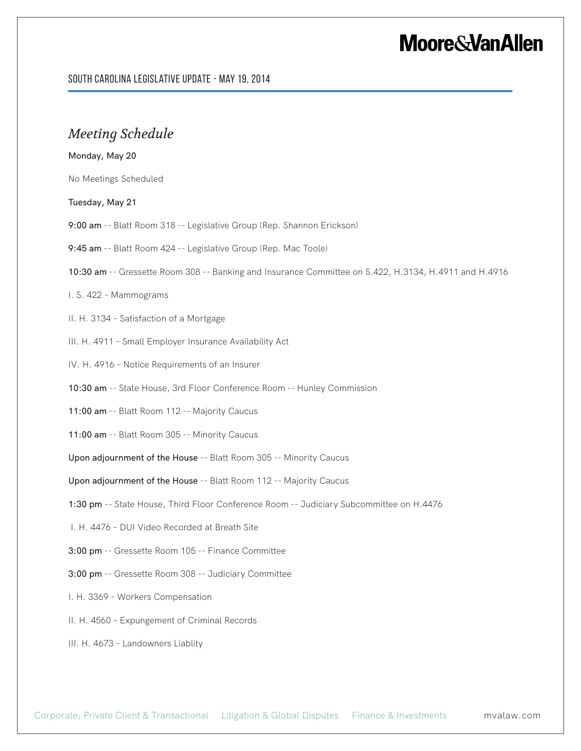#### South Carolina Legislative Update - May 19, 2014

### *Meeting Schedule*

#### Monday, May 20

No Meetings Scheduled

#### Tuesday, May 21

- 9:00 am -- Blatt Room 318 -- Legislative Group (Rep. Shannon Erickson)
- 9:45 am -- Blatt Room 424 -- Legislative Group (Rep. Mac Toole)
- 10:30 am -- Gressette Room 308 -- Banking and Insurance Committee on S.422, H.3134, H.4911 and H.4916

#### I. S. 422 – Mammograms

- II. H. 3134 Satisfaction of a Mortgage
- III. H. 4911 Small Employer Insurance Availability Act
- IV. H. 4916 Notice Requirements of an Insurer

10:30 am -- State House, 3rd Floor Conference Room -- Hunley Commission

- 11:00 am -- Blatt Room 112 -- Majority Caucus
- 11:00 am -- Blatt Room 305 -- Minority Caucus

Upon adjournment of the House -- Blatt Room 305 -- Minority Caucus

Upon adjournment of the House -- Blatt Room 112 -- Majority Caucus

- 1:30 pm -- State House, Third Floor Conference Room -- Judiciary Subcommittee on H.4476
- I. H. 4476 DUI Video Recorded at Breath Site
- 3:00 pm -- Gressette Room 105 -- Finance Committee
- 3:00 pm -- Gressette Room 308 -- Judiciary Committee
- I. H. 3369 Workers Compensation
- II. H. 4560 Expungement of Criminal Records
- III. H. 4673 Landowners Liablity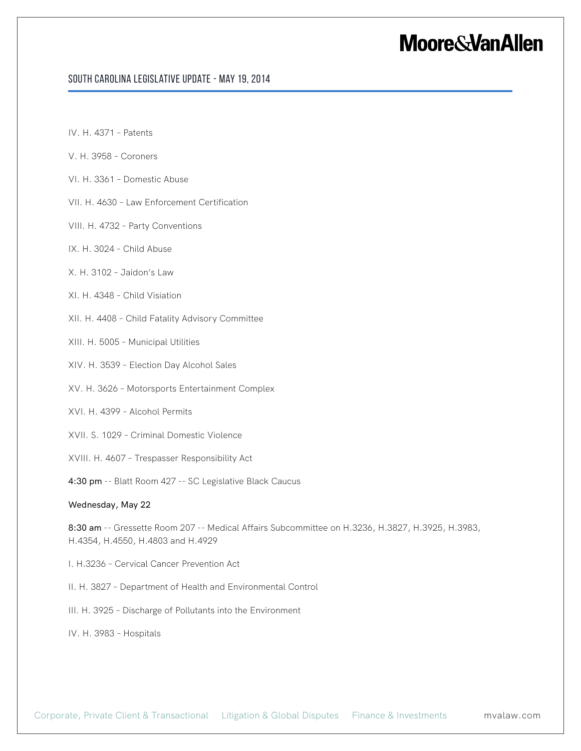#### South Carolina Legislative Update - May 19, 2014

- IV. H. 4371 Patents
- V. H. 3958 Coroners
- VI. H. 3361 Domestic Abuse
- VII. H. 4630 Law Enforcement Certification
- VIII. H. 4732 Party Conventions
- IX. H. 3024 Child Abuse
- X. H. 3102 Jaidon's Law
- XI. H. 4348 Child Visiation
- XII. H. 4408 Child Fatality Advisory Committee
- XIII. H. 5005 Municipal Utilities
- XIV. H. 3539 Election Day Alcohol Sales
- XV. H. 3626 Motorsports Entertainment Complex
- XVI. H. 4399 Alcohol Permits
- XVII. S. 1029 Criminal Domestic Violence
- XVIII. H. 4607 Trespasser Responsibility Act
- 4:30 pm -- Blatt Room 427 -- SC Legislative Black Caucus

#### Wednesday, May 22

8:30 am -- Gressette Room 207 -- Medical Affairs Subcommittee on H.3236, H.3827, H.3925, H.3983, H.4354, H.4550, H.4803 and H.4929

- I. H.3236 Cervical Cancer Prevention Act
- II. H. 3827 Department of Health and Environmental Control
- III. H. 3925 Discharge of Pollutants into the Environment
- IV. H. 3983 Hospitals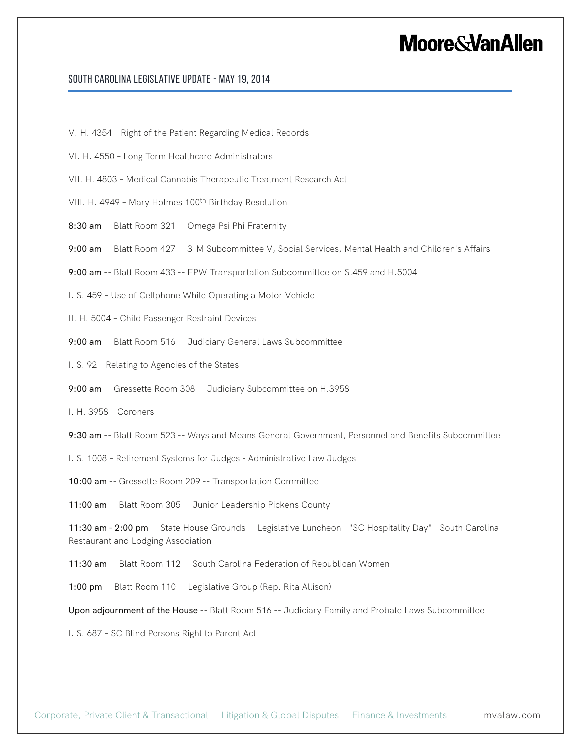#### South Carolina Legislative Update - May 19, 2014

V. H. 4354 – Right of the Patient Regarding Medical Records

- VI. H. 4550 Long Term Healthcare Administrators
- VII. H. 4803 Medical Cannabis Therapeutic Treatment Research Act

VIII. H. 4949 - Mary Holmes 100<sup>th</sup> Birthday Resolution

8:30 am -- Blatt Room 321 -- Omega Psi Phi Fraternity

9:00 am -- Blatt Room 427 -- 3-M Subcommittee V, Social Services, Mental Health and Children's Affairs

9:00 am -- Blatt Room 433 -- EPW Transportation Subcommittee on S.459 and H.5004

I. S. 459 – Use of Cellphone While Operating a Motor Vehicle

II. H. 5004 – Child Passenger Restraint Devices

9:00 am -- Blatt Room 516 -- Judiciary General Laws Subcommittee

I. S. 92 – Relating to Agencies of the States

9:00 am -- Gressette Room 308 -- Judiciary Subcommittee on H.3958

I. H. 3958 – Coroners

9:30 am -- Blatt Room 523 -- Ways and Means General Government, Personnel and Benefits Subcommittee

I. S. 1008 – Retirement Systems for Judges - Administrative Law Judges

10:00 am -- Gressette Room 209 -- Transportation Committee

11:00 am -- Blatt Room 305 -- Junior Leadership Pickens County

11:30 am - 2:00 pm -- State House Grounds -- Legislative Luncheon--"SC Hospitality Day"--South Carolina Restaurant and Lodging Association

11:30 am -- Blatt Room 112 -- South Carolina Federation of Republican Women

1:00 pm -- Blatt Room 110 -- Legislative Group (Rep. Rita Allison)

Upon adjournment of the House -- Blatt Room 516 -- Judiciary Family and Probate Laws Subcommittee

I. S. 687 – SC Blind Persons Right to Parent Act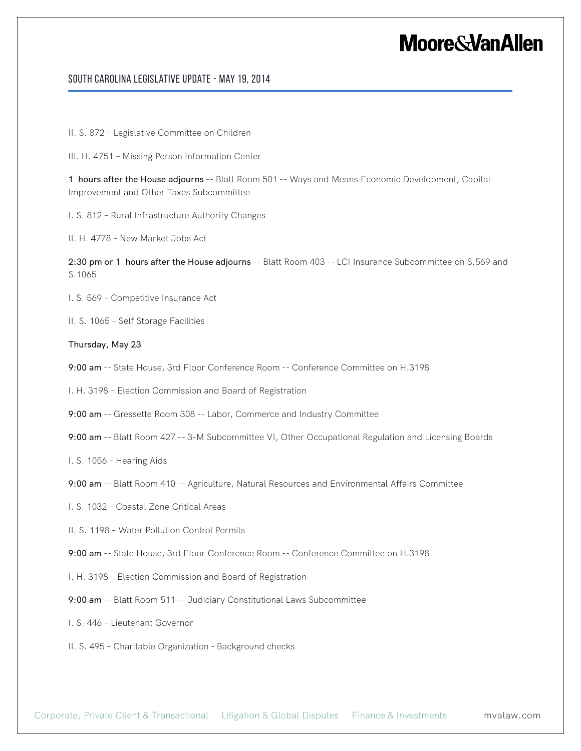#### South Carolina Legislative Update - May 19, 2014

II. S. 872 – Legislative Committee on Children

III. H. 4751 – Missing Person Information Center

1 hours after the House adjourns -- Blatt Room 501 -- Ways and Means Economic Development, Capital Improvement and Other Taxes Subcommittee

I. S. 812 – Rural Infrastructure Authority Changes

II. H. 4778 – New Market Jobs Act

2:30 pm or 1 hours after the House adjourns -- Blatt Room 403 -- LCI Insurance Subcommittee on S.569 and S.1065

I. S. 569 – Competitive Insurance Act

II. S. 1065 – Self Storage Facilities

#### Thursday, May 23

9:00 am -- State House, 3rd Floor Conference Room -- Conference Committee on H.3198

I. H. 3198 – Election Commission and Board of Registration

9:00 am -- Gressette Room 308 -- Labor, Commerce and Industry Committee

9:00 am -- Blatt Room 427 -- 3-M Subcommittee VI, Other Occupational Regulation and Licensing Boards

I. S. 1056 – Hearing Aids

9:00 am -- Blatt Room 410 -- Agriculture, Natural Resources and Environmental Affairs Committee

I. S. 1032 – Coastal Zone Critical Areas

II. S. 1198 – Water Pollution Control Permits

9:00 am -- State House, 3rd Floor Conference Room -- Conference Committee on H.3198

I. H. 3198 – Election Commission and Board of Registration

9:00 am -- Blatt Room 511 -- Judiciary Constitutional Laws Subcommittee

I. S. 446 – Lieutenant Governor

II. S. 495 – Charitable Organization - Background checks